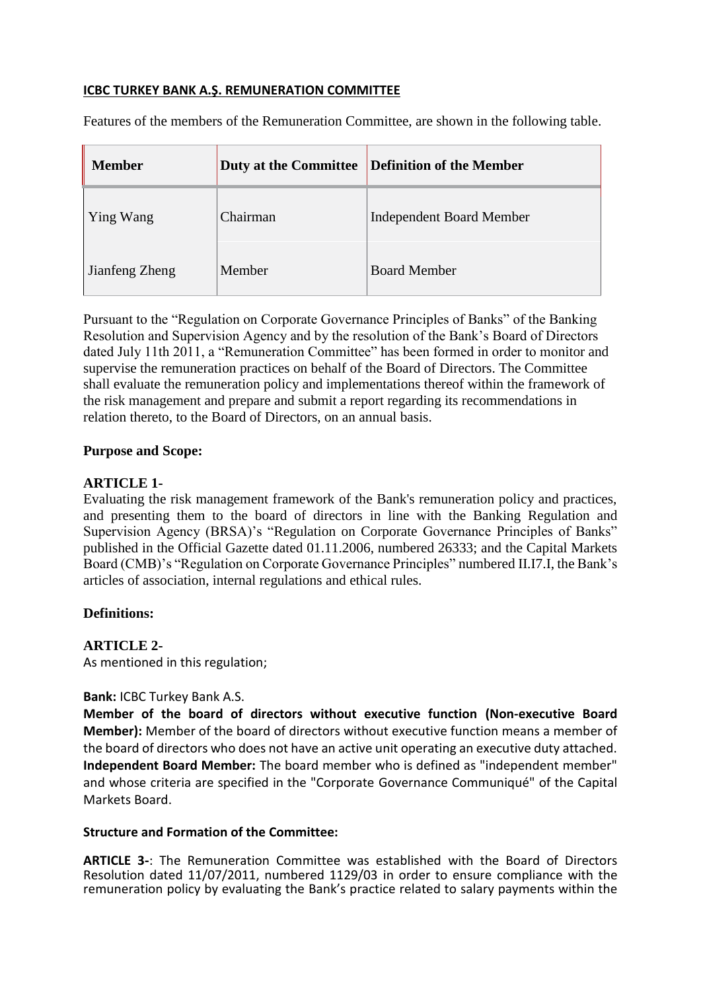## **ICBC TURKEY BANK A.Ş. REMUNERATION COMMITTEE**

Features of the members of the Remuneration Committee, are shown in the following table.

| <b>Member</b>  | <b>Duty at the Committee</b> | Definition of the Member        |
|----------------|------------------------------|---------------------------------|
| Ying Wang      | Chairman                     | <b>Independent Board Member</b> |
| Jianfeng Zheng | Member                       | <b>Board Member</b>             |

Pursuant to the "Regulation on Corporate Governance Principles of Banks" of the Banking Resolution and Supervision Agency and by the resolution of the Bank's Board of Directors dated July 11th 2011, a "Remuneration Committee" has been formed in order to monitor and supervise the remuneration practices on behalf of the Board of Directors. The Committee shall evaluate the remuneration policy and implementations thereof within the framework of the risk management and prepare and submit a report regarding its recommendations in relation thereto, to the Board of Directors, on an annual basis.

#### **Purpose and Scope:**

### **ARTICLE 1-**

Evaluating the risk management framework of the Bank's remuneration policy and practices, and presenting them to the board of directors in line with the Banking Regulation and Supervision Agency (BRSA)'s "Regulation on Corporate Governance Principles of Banks" published in the Official Gazette dated 01.11.2006, numbered 26333; and the Capital Markets Board (CMB)'s "Regulation on Corporate Governance Principles" numbered II.I7.I, the Bank's articles of association, internal regulations and ethical rules.

## **Definitions:**

## **ARTICLE 2-**

As mentioned in this regulation;

#### **Bank:** ICBC Turkey Bank A.S.

**Member of the board of directors without executive function (Non-executive Board Member):** Member of the board of directors without executive function means a member of the board of directors who does not have an active unit operating an executive duty attached. **Independent Board Member:** The board member who is defined as "independent member" and whose criteria are specified in the "Corporate Governance Communiqué" of the Capital Markets Board.

#### **Structure and Formation of the Committee:**

**ARTICLE 3-**: The Remuneration Committee was established with the Board of Directors Resolution dated 11/07/2011, numbered 1129/03 in order to ensure compliance with the remuneration policy by evaluating the Bank's practice related to salary payments within the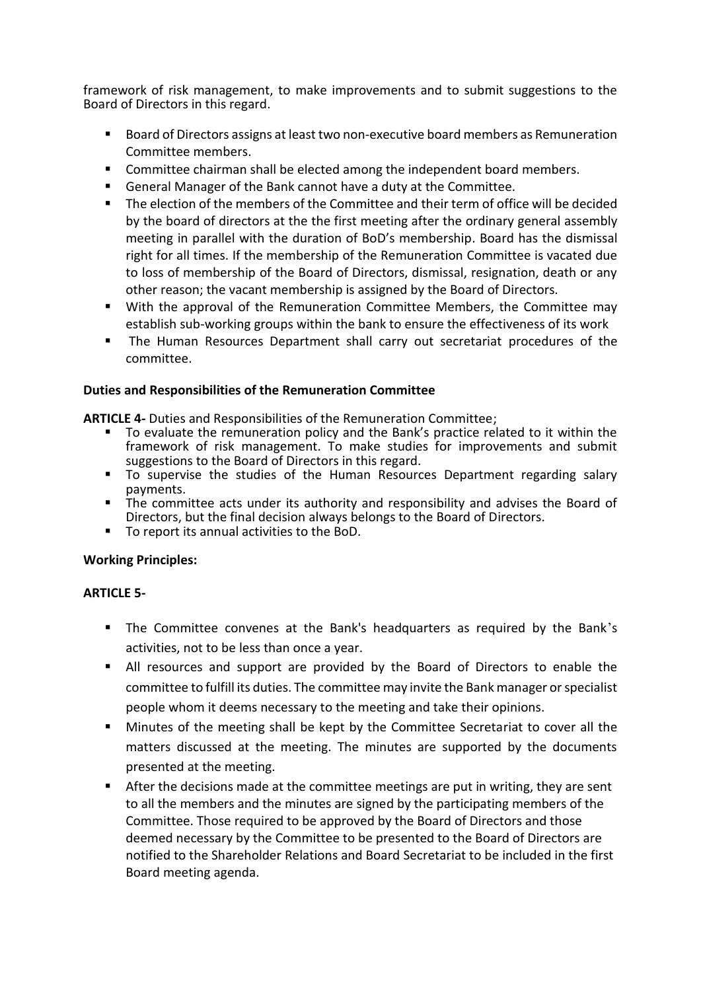framework of risk management, to make improvements and to submit suggestions to the Board of Directors in this regard.

- Board of Directors assigns at least two non-executive board members as Remuneration Committee members.
- **Committee chairman shall be elected among the independent board members.**
- General Manager of the Bank cannot have a duty at the Committee.
- The election of the members of the Committee and their term of office will be decided by the board of directors at the the first meeting after the ordinary general assembly meeting in parallel with the duration of BoD's membership. Board has the dismissal right for all times. If the membership of the Remuneration Committee is vacated due to loss of membership of the Board of Directors, dismissal, resignation, death or any other reason; the vacant membership is assigned by the Board of Directors.
- With the approval of the Remuneration Committee Members, the Committee may establish sub-working groups within the bank to ensure the effectiveness of its work
- **The Human Resources Department shall carry out secretariat procedures of the** committee.

#### **Duties and Responsibilities of the Remuneration Committee**

**ARTICLE 4-** Duties and Responsibilities of the Remuneration Committee;

- To evaluate the remuneration policy and the Bank's practice related to it within the framework of risk management. To make studies for improvements and submit suggestions to the Board of Directors in this regard.
- To supervise the studies of the Human Resources Department regarding salary payments.
- payments.<br>The committee acts under its authority and responsibility and advises the Board of Directors, but the final decision always belongs to the Board of Directors.
- To report its annual activities to the BoD.

## **Working Principles:**

## **ARTICLE 5-**

- The Committee convenes at the Bank's headquarters as required by the Bank's activities, not to be less than once a year.
- All resources and support are provided by the Board of Directors to enable the committee to fulfill its duties. The committee may invite the Bank manager or specialist people whom it deems necessary to the meeting and take their opinions.
- **Minutes of the meeting shall be kept by the Committee Secretariat to cover all the** matters discussed at the meeting. The minutes are supported by the documents presented at the meeting.
- After the decisions made at the committee meetings are put in writing, they are sent to all the members and the minutes are signed by the participating members of the Committee. Those required to be approved by the Board of Directors and those deemed necessary by the Committee to be presented to the Board of Directors are notified to the Shareholder Relations and Board Secretariat to be included in the first Board meeting agenda.